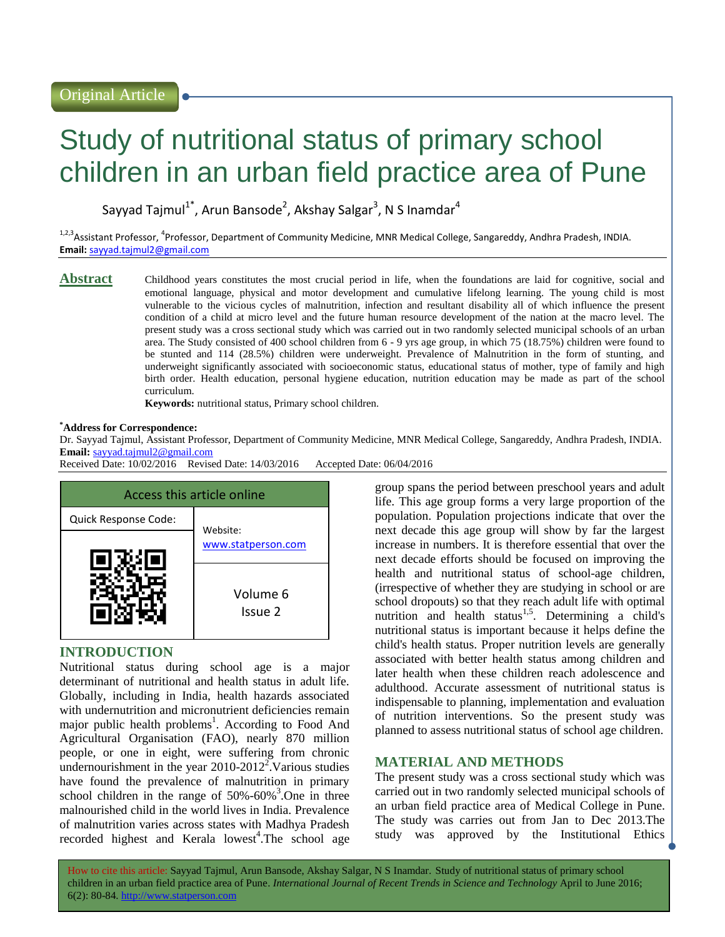# Study of nutritional status of primary school children in an urban field practice area of Pune

Sayyad Tajmul<sup>1\*</sup>, Arun Bansode<sup>2</sup>, Akshay Salgar<sup>3</sup>, N S Inamdar<sup>4</sup>

<sup>1,2,3</sup>Assistant Professor, <sup>4</sup>Professor, Department of Community Medicine, MNR Medical College, Sangareddy, Andhra Pradesh, INDIA. **Email:** [sayyad.tajmul2@gmail.com](mailto:sayyad.tajmul2@gmail.com)

Abstract Childhood years constitutes the most crucial period in life, when the foundations are laid for cognitive, social and emotional language, physical and motor development and cumulative lifelong learning. The young child is most vulnerable to the vicious cycles of malnutrition, infection and resultant disability all of which influence the present condition of a child at micro level and the future human resource development of the nation at the macro level. The present study was a cross sectional study which was carried out in two randomly selected municipal schools of an urban area. The Study consisted of 400 school children from 6 - 9 yrs age group, in which 75 (18.75%) children were found to be stunted and 114 (28.5%) children were underweight. Prevalence of Malnutrition in the form of stunting, and underweight significantly associated with socioeconomic status, educational status of mother, type of family and high birth order. Health education, personal hygiene education, nutrition education may be made as part of the school curriculum.

**Keywords:** nutritional status, Primary school children.

#### **\*Address for Correspondence:**

Dr. Sayyad Tajmul, Assistant Professor, Department of Community Medicine, MNR Medical College, Sangareddy, Andhra Pradesh, INDIA. **Email:** [sayyad.tajmul2@gmail.com](mailto:sayyad.tajmul2@gmail.com)

Received Date: 10/02/2016 Revised Date: 14/03/2016 Accepted Date: 06/04/2016



## **INTRODUCTION**

Nutritional status during school age is a major determinant of nutritional and health status in adult life. Globally, including in India, health hazards associated with undernutrition and micronutrient deficiencies remain major public health problems<sup>1</sup>. According to Food And Agricultural Organisation (FAO), nearly 870 million people, or one in eight, were suffering from chronic undernourishment in the year  $2010-2012^2$ . Various studies have found the prevalence of malnutrition in primary school children in the range of  $50\% -60\%$ <sup>3</sup>. One in three malnourished child in the world lives in India. Prevalence of malnutrition varies across states with Madhya Pradesh  $recorded$  highest and Kerala lowest<sup>4</sup>. The school age

group spans the period between preschool years and adult life. This age group forms a very large proportion of the population. Population projections indicate that over the next decade this age group will show by far the largest increase in numbers. It is therefore essential that over the next decade efforts should be focused on improving the health and nutritional status of school-age children, (irrespective of whether they are studying in school or are school dropouts) so that they reach adult life with optimal nutrition and health status<sup>1,5</sup>. Determining a child's nutritional status is important because it helps define the child's health status. Proper nutrition levels are generally associated with better health status among children and later health when these children reach adolescence and adulthood. Accurate assessment of nutritional status is indispensable to planning, implementation and evaluation of nutrition interventions. So the present study was planned to assess nutritional status of school age children.

# **MATERIAL AND METHODS**

The present study was a cross sectional study which was carried out in two randomly selected municipal schools of an urban field practice area of Medical College in Pune. The study was carries out from Jan to Dec 2013.The study was approved by the Institutional Ethics

How to cite this article: Sayyad Tajmul, Arun Bansode, Akshay Salgar, N S Inamdar*.* Study of nutritional status of primary school children in an urban field practice area of Pune. *International Journal of Recent Trends in Science and Technology* April to June 2016; 6(2): 80-84. http://www.statperson.com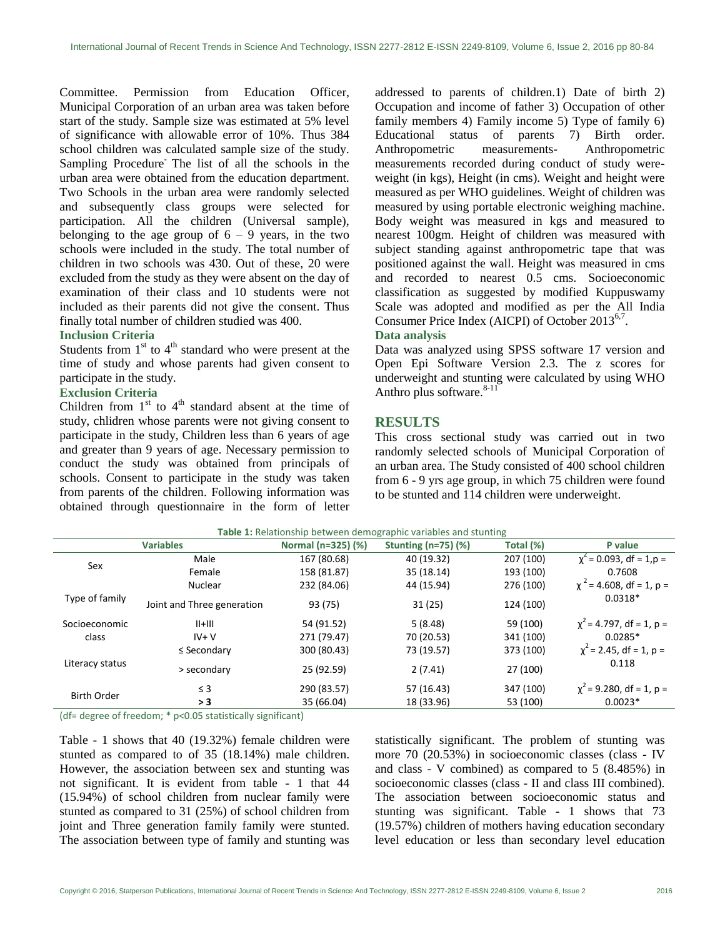Committee. Permission from Education Officer, Municipal Corporation of an urban area was taken before start of the study. Sample size was estimated at 5% level of significance with allowable error of 10%. Thus 384 school children was calculated sample size of the study. Sampling Procedure The list of all the schools in the urban area were obtained from the education department. Two Schools in the urban area were randomly selected and subsequently class groups were selected for participation. All the children (Universal sample), belonging to the age group of  $6 - 9$  years, in the two schools were included in the study. The total number of children in two schools was 430. Out of these, 20 were excluded from the study as they were absent on the day of examination of their class and 10 students were not included as their parents did not give the consent. Thus finally total number of children studied was 400.

### **Inclusion Criteria**

Students from  $1<sup>st</sup>$  to  $4<sup>th</sup>$  standard who were present at the time of study and whose parents had given consent to participate in the study.

# **Exclusion Criteria**

Children from  $1<sup>st</sup>$  to  $4<sup>th</sup>$  standard absent at the time of study, chlidren whose parents were not giving consent to participate in the study, Children less than 6 years of age and greater than 9 years of age. Necessary permission to conduct the study was obtained from principals of schools. Consent to participate in the study was taken from parents of the children. Following information was obtained through questionnaire in the form of letter addressed to parents of children.1) Date of birth 2) Occupation and income of father 3) Occupation of other family members 4) Family income 5) Type of family 6) Educational status of parents 7) Birth order. Anthropometric measurements- Anthropometric measurements recorded during conduct of study wereweight (in kgs), Height (in cms). Weight and height were measured as per WHO guidelines. Weight of children was measured by using portable electronic weighing machine. Body weight was measured in kgs and measured to nearest 100gm. Height of children was measured with subject standing against anthropometric tape that was positioned against the wall. Height was measured in cms and recorded to nearest 0.5 cms. Socioeconomic classification as suggested by modified Kuppuswamy Scale was adopted and modified as per the All India Consumer Price Index (AICPI) of October 2013<sup>6,7</sup>.

#### **Data analysis**

Data was analyzed using SPSS software 17 version and Open Epi Software Version 2.3. The z scores for underweight and stunting were calculated by using WHO Anthro plus software. $8-11$ 

## **RESULTS**

This cross sectional study was carried out in two randomly selected schools of Municipal Corporation of an urban area. The Study consisted of 400 school children from 6 - 9 yrs age group, in which 75 children were found to be stunted and 114 children were underweight.

| Table 1: Relationship between demographic variables and stunting |                            |                    |                          |           |                               |  |  |  |
|------------------------------------------------------------------|----------------------------|--------------------|--------------------------|-----------|-------------------------------|--|--|--|
| <b>Variables</b>                                                 |                            | Normal (n=325) (%) | Stunting $(n=75)$ $(\%)$ | Total (%) | P value                       |  |  |  |
| Sex                                                              | Male                       | 167 (80.68)        | 40 (19.32)               | 207 (100) | $\chi^2$ = 0.093, df = 1,p =  |  |  |  |
|                                                                  | Female                     | 158 (81.87)        | 35 (18.14)               | 193 (100) | 0.7608                        |  |  |  |
|                                                                  | Nuclear                    | 232 (84.06)        | 44 (15.94)               | 276 (100) | $\chi^2$ = 4.608, df = 1, p = |  |  |  |
| Type of family                                                   | Joint and Three generation | 93 (75)            | 31(25)                   | 124 (100) | $0.0318*$                     |  |  |  |
| Socioeconomic                                                    | $  +   $                   | 54 (91.52)         | 5(8.48)                  | 59 (100)  | $\chi^2$ = 4.797, df = 1, p = |  |  |  |
| class                                                            | $IV + V$                   | 271 (79.47)        | 70 (20.53)               | 341 (100) | $0.0285*$                     |  |  |  |
|                                                                  | $\leq$ Secondary           | 300 (80.43)        | 73 (19.57)               | 373 (100) | $\chi^2$ = 2.45, df = 1, p =  |  |  |  |
| Literacy status                                                  | > secondary                | 25 (92.59)         | 2(7.41)                  | 27 (100)  | 0.118                         |  |  |  |
| <b>Birth Order</b>                                               | $\leq$ 3                   | 290 (83.57)        | 57 (16.43)               | 347 (100) | $\chi^2$ = 9.280, df = 1, p = |  |  |  |
|                                                                  | > 3                        | 35 (66.04)         | 18 (33.96)               | 53 (100)  | $0.0023*$                     |  |  |  |

(df= degree of freedom; \* p<0.05 statistically significant)

Table - 1 shows that 40 (19.32%) female children were stunted as compared to of 35 (18.14%) male children. However, the association between sex and stunting was not significant. It is evident from table - 1 that 44 (15.94%) of school children from nuclear family were stunted as compared to 31 (25%) of school children from joint and Three generation family family were stunted. The association between type of family and stunting was

statistically significant. The problem of stunting was more 70 (20.53%) in socioeconomic classes (class - IV and class - V combined) as compared to 5 (8.485%) in socioeconomic classes (class - II and class III combined). The association between socioeconomic status and stunting was significant. Table - 1 shows that 73 (19.57%) children of mothers having education secondary level education or less than secondary level education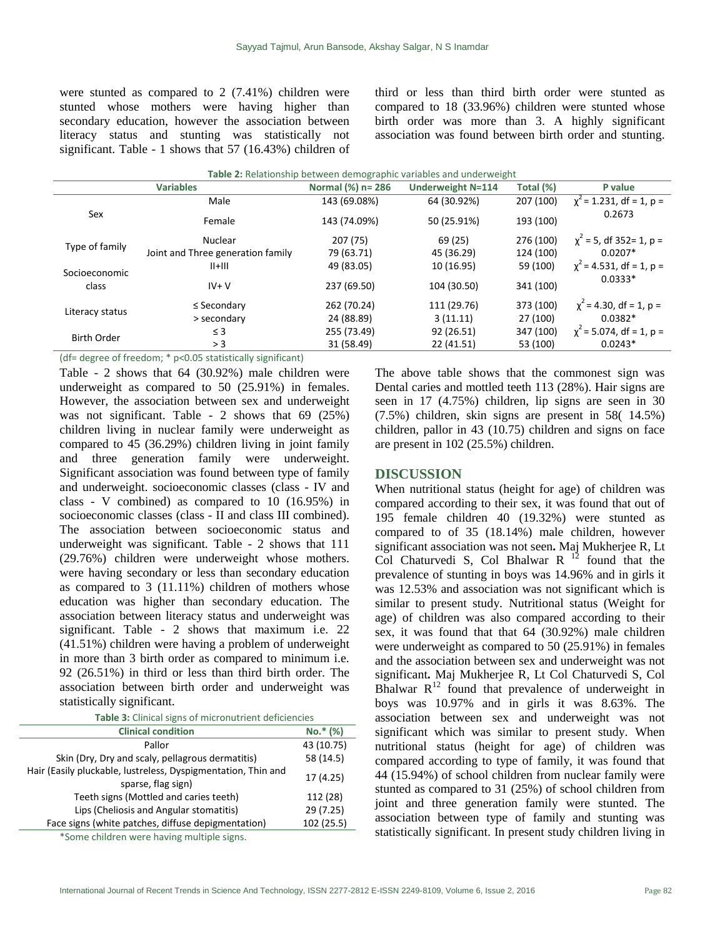were stunted as compared to 2 (7.41%) children were stunted whose mothers were having higher than secondary education, however the association between literacy status and stunting was statistically not significant. Table - 1 shows that 57 (16.43%) children of third or less than third birth order were stunted as compared to 18 (33.96%) children were stunted whose birth order was more than 3. A highly significant association was found between birth order and stunting.

| <b>Table 2:</b> Relationship between demographic variables and underweight |                                   |                   |                          |           |                               |  |  |  |
|----------------------------------------------------------------------------|-----------------------------------|-------------------|--------------------------|-----------|-------------------------------|--|--|--|
|                                                                            | <b>Variables</b>                  | Normal (%) n= 286 | <b>Underweight N=114</b> | Total (%) | P value                       |  |  |  |
| Sex                                                                        | Male                              | 143 (69.08%)      | 64 (30.92%)              | 207 (100) | $\chi^2$ = 1.231, df = 1, p = |  |  |  |
|                                                                            | Female                            | 143 (74.09%)      | 50 (25.91%)              | 193 (100) | 0.2673                        |  |  |  |
| Type of family                                                             | Nuclear                           | 207 (75)          | 69 (25)                  | 276 (100) | $\chi^2$ = 5, df 352= 1, p =  |  |  |  |
|                                                                            | Joint and Three generation family | 79 (63.71)        | 45 (36.29)               | 124 (100) | $0.0207*$                     |  |  |  |
| Socioeconomic<br>class                                                     | $  +   $                          | 49 (83.05)        | 10 (16.95)               | 59 (100)  | $\chi^2$ = 4.531, df = 1, p = |  |  |  |
|                                                                            | $IV+V$                            | 237 (69.50)       | 104 (30.50)              | 341 (100) | $0.0333*$                     |  |  |  |
| Literacy status                                                            | $\leq$ Secondary                  | 262 (70.24)       | 111 (29.76)              | 373 (100) | $\chi^2$ = 4.30, df = 1, p =  |  |  |  |
|                                                                            | > secondary                       | 24 (88.89)        | 3(11.11)                 | 27 (100)  | $0.0382*$                     |  |  |  |
| <b>Birth Order</b>                                                         | $\leq$ 3                          | 255 (73.49)       | 92 (26.51)               | 347 (100) | $\chi^2$ = 5.074, df = 1, p = |  |  |  |
|                                                                            | > 3                               | 31 (58.49)        | 22 (41.51)               | 53 (100)  | $0.0243*$                     |  |  |  |

#### (df= degree of freedom; \* p<0.05 statistically significant)

Table - 2 shows that 64 (30.92%) male children were underweight as compared to 50 (25.91%) in females. However, the association between sex and underweight was not significant. Table - 2 shows that 69 (25%) children living in nuclear family were underweight as compared to 45 (36.29%) children living in joint family and three generation family were underweight. Significant association was found between type of family and underweight. socioeconomic classes (class - IV and class - V combined) as compared to 10 (16.95%) in socioeconomic classes (class - II and class III combined). The association between socioeconomic status and underweight was significant. Table - 2 shows that 111 (29.76%) children were underweight whose mothers. were having secondary or less than secondary education as compared to 3 (11.11%) children of mothers whose education was higher than secondary education. The association between literacy status and underweight was significant. Table - 2 shows that maximum i.e. 22 (41.51%) children were having a problem of underweight in more than 3 birth order as compared to minimum i.e. 92 (26.51%) in third or less than third birth order. The association between birth order and underweight was statistically significant.

**Table 3:** Clinical signs of micronutrient deficiencies

| <b>Clinical condition</b>                                                           | $No.*$ (%) |  |  |  |  |
|-------------------------------------------------------------------------------------|------------|--|--|--|--|
| Pallor                                                                              | 43 (10.75) |  |  |  |  |
| Skin (Dry, Dry and scaly, pellagrous dermatitis)                                    | 58 (14.5)  |  |  |  |  |
| Hair (Easily pluckable, lustreless, Dyspigmentation, Thin and<br>sparse, flag sign) | 17(4.25)   |  |  |  |  |
| Teeth signs (Mottled and caries teeth)                                              | 112 (28)   |  |  |  |  |
| Lips (Cheliosis and Angular stomatitis)                                             | 29 (7.25)  |  |  |  |  |
| Face signs (white patches, diffuse depigmentation)                                  | 102 (25.5) |  |  |  |  |
|                                                                                     |            |  |  |  |  |

\*Some children were having multiple signs.

The above table shows that the commonest sign was Dental caries and mottled teeth 113 (28%). Hair signs are seen in 17 (4.75%) children, lip signs are seen in 30 (7.5%) children, skin signs are present in 58( 14.5%) children, pallor in 43 (10.75) children and signs on face are present in 102 (25.5%) children.

### **DISCUSSION**

When nutritional status (height for age) of children was compared according to their sex, it was found that out of 195 female children 40 (19.32%) were stunted as compared to of 35 (18.14%) male children, however significant association was not seen**.** Maj Mukherjee R, Lt Col Chaturvedi S, Col Bhalwar R  $^{12}$  found that the prevalence of stunting in boys was 14.96% and in girls it was 12.53% and association was not significant which is similar to present study. Nutritional status (Weight for age) of children was also compared according to their sex, it was found that that 64 (30.92%) male children were underweight as compared to 50 (25.91%) in females and the association between sex and underweight was not significant**.** Maj Mukherjee R, Lt Col Chaturvedi S, Col Bhalwar  $R^{12}$  found that prevalence of underweight in boys was 10.97% and in girls it was 8.63%. The association between sex and underweight was not significant which was similar to present study. When nutritional status (height for age) of children was compared according to type of family, it was found that 44 (15.94%) of school children from nuclear family were stunted as compared to 31 (25%) of school children from joint and three generation family were stunted. The association between type of family and stunting was statistically significant. In present study children living in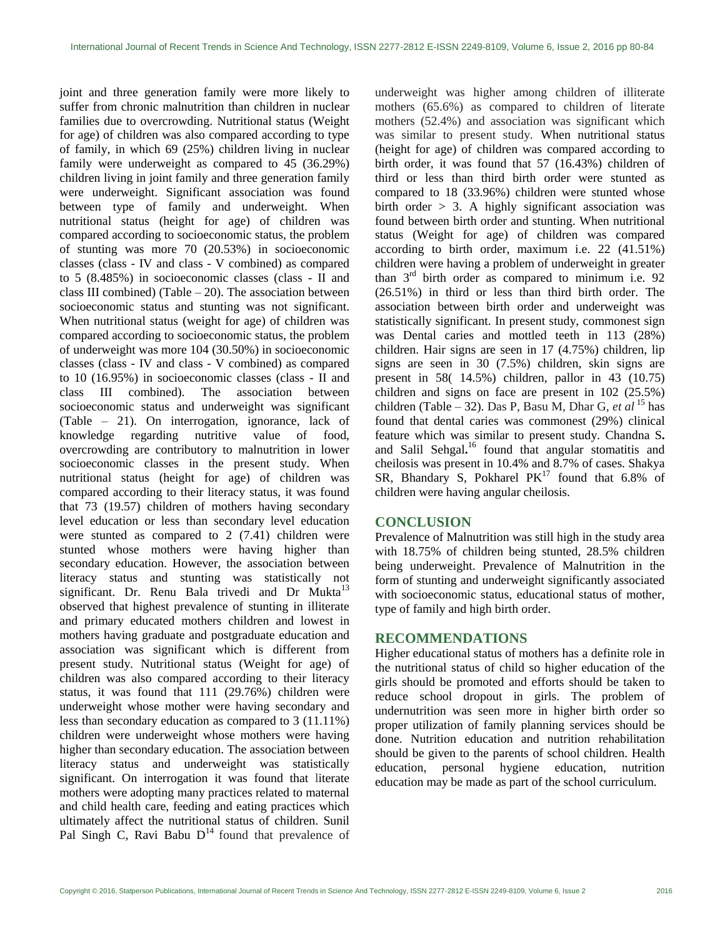joint and three generation family were more likely to suffer from chronic malnutrition than children in nuclear families due to overcrowding. Nutritional status (Weight for age) of children was also compared according to type of family, in which 69 (25%) children living in nuclear family were underweight as compared to 45 (36.29%) children living in joint family and three generation family were underweight. Significant association was found between type of family and underweight. When nutritional status (height for age) of children was compared according to socioeconomic status, the problem of stunting was more 70 (20.53%) in socioeconomic classes (class - IV and class - V combined) as compared to 5 (8.485%) in socioeconomic classes (class - II and class III combined) (Table  $-20$ ). The association between socioeconomic status and stunting was not significant. When nutritional status (weight for age) of children was compared according to socioeconomic status, the problem of underweight was more 104 (30.50%) in socioeconomic classes (class - IV and class - V combined) as compared to 10 (16.95%) in socioeconomic classes (class - II and class III combined). The association between socioeconomic status and underweight was significant (Table – 21). On interrogation, ignorance, lack of knowledge regarding nutritive value of food, overcrowding are contributory to malnutrition in lower socioeconomic classes in the present study. When nutritional status (height for age) of children was compared according to their literacy status, it was found that 73 (19.57) children of mothers having secondary level education or less than secondary level education were stunted as compared to 2 (7.41) children were stunted whose mothers were having higher than secondary education. However, the association between literacy status and stunting was statistically not significant. Dr. Renu Bala trivedi and Dr Mukta $13$ observed that highest prevalence of stunting in illiterate and primary educated mothers children and lowest in mothers having graduate and postgraduate education and association was significant which is different from present study. Nutritional status (Weight for age) of children was also compared according to their literacy status, it was found that 111 (29.76%) children were underweight whose mother were having secondary and less than secondary education as compared to 3 (11.11%) children were underweight whose mothers were having higher than secondary education. The association between literacy status and underweight was statistically significant. On interrogation it was found that literate mothers were adopting many practices related to maternal and child health care, feeding and eating practices which ultimately affect the nutritional status of children. Sunil Pal Singh C, Ravi Babu  $D<sup>14</sup>$  found that prevalence of underweight was higher among children of illiterate mothers (65.6%) as compared to children of literate mothers (52.4%) and association was significant which was similar to present study. When nutritional status (height for age) of children was compared according to birth order, it was found that 57 (16.43%) children of third or less than third birth order were stunted as compared to 18 (33.96%) children were stunted whose birth order  $> 3$ . A highly significant association was found between birth order and stunting. When nutritional status (Weight for age) of children was compared according to birth order, maximum i.e. 22 (41.51%) children were having a problem of underweight in greater than 3 rd birth order as compared to minimum i.e. 92 (26.51%) in third or less than third birth order. The association between birth order and underweight was statistically significant. In present study, commonest sign was Dental caries and mottled teeth in 113 (28%) children. Hair signs are seen in 17 (4.75%) children, lip signs are seen in 30 (7.5%) children, skin signs are present in 58( 14.5%) children, pallor in 43 (10.75) children and signs on face are present in 102 (25.5%) children (Table – 32). Das P, Basu M, Dhar G, *et al* <sup>15</sup> has found that dental caries was commonest (29%) clinical feature which was similar to present study. Chandna S**.**  and Salil Sehgal**.** <sup>16</sup> found that angular stomatitis and cheilosis was present in 10.4% and 8.7% of cases. Shakya SR, Bhandary S, Pokharel  $PK^{17}$  found that 6.8% of children were having angular cheilosis.

## **CONCLUSION**

Prevalence of Malnutrition was still high in the study area with 18.75% of children being stunted, 28.5% children being underweight. Prevalence of Malnutrition in the form of stunting and underweight significantly associated with socioeconomic status, educational status of mother, type of family and high birth order.

## **RECOMMENDATIONS**

Higher educational status of mothers has a definite role in the nutritional status of child so higher education of the girls should be promoted and efforts should be taken to reduce school dropout in girls. The problem of undernutrition was seen more in higher birth order so proper utilization of family planning services should be done. Nutrition education and nutrition rehabilitation should be given to the parents of school children. Health education, personal hygiene education, nutrition education may be made as part of the school curriculum.